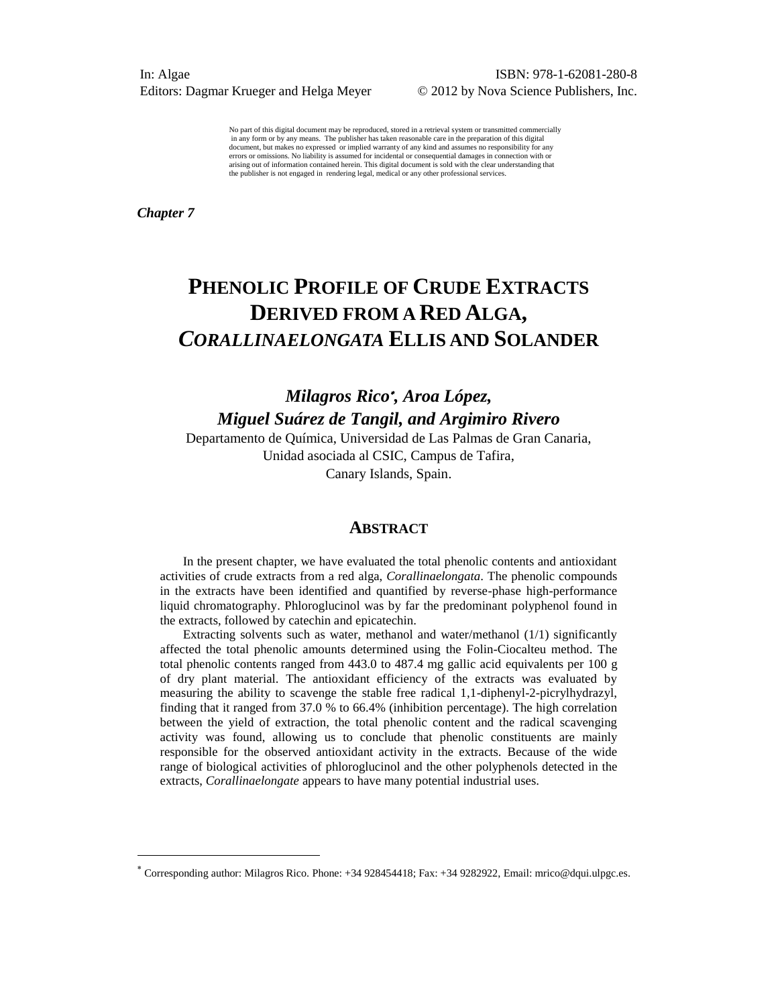No part of this digital document may be reproduced, stored in a retrieval system or transmitted commercially in any form or by any means. The publisher has taken reasonable care in the preparation of this digital document, but makes no expressed or implied warranty of any kind and assumes no responsibility for any document, errors or omissions. No liability is assumed for incidental or consequential damages in connection with or arising out of information contained herein. This digital document is sold with the clear understanding that the publisher is not engaged in rendering legal, medical or any other professional services.

*Chapter 7*

 $\overline{a}$ 

# **PHENOLIC PROFILE OF CRUDE EXTRACTS DERIVED FROM A RED ALGA,** *CORALLINAELONGATA* **ELLIS AND SOLANDER**

*Milagros Rico , Aroa López, Miguel Suárez de Tangil, and Argimiro Rivero*

Departamento de Química, Universidad de Las Palmas de Gran Canaria, Unidad asociada al CSIC, Campus de Tafira, Canary Islands, Spain.

#### **ABSTRACT**

In the present chapter, we have evaluated the total phenolic contents and antioxidant activities of crude extracts from a red alga, *Corallinaelongata*. The phenolic compounds in the extracts have been identified and quantified by reverse-phase high-performance liquid chromatography. Phloroglucinol was by far the predominant polyphenol found in the extracts, followed by catechin and epicatechin.

Extracting solvents such as water, methanol and water/methanol (1/1) significantly affected the total phenolic amounts determined using the Folin-Ciocalteu method. The total phenolic contents ranged from 443.0 to 487.4 mg gallic acid equivalents per 100 g of dry plant material. The antioxidant efficiency of the extracts was evaluated by measuring the ability to scavenge the stable free radical 1,1-diphenyl-2-picrylhydrazyl, finding that it ranged from 37.0 % to 66.4% (inhibition percentage). The high correlation between the yield of extraction, the total phenolic content and the radical scavenging activity was found, allowing us to conclude that phenolic constituents are mainly responsible for the observed antioxidant activity in the extracts. Because of the wide range of biological activities of phloroglucinol and the other polyphenols detected in the extracts, *Corallinaelongate* appears to have many potential industrial uses.

Corresponding author: Milagros Rico. Phone: +34 928454418; Fax: +34 9282922, Email: mrico@dqui.ulpgc.es.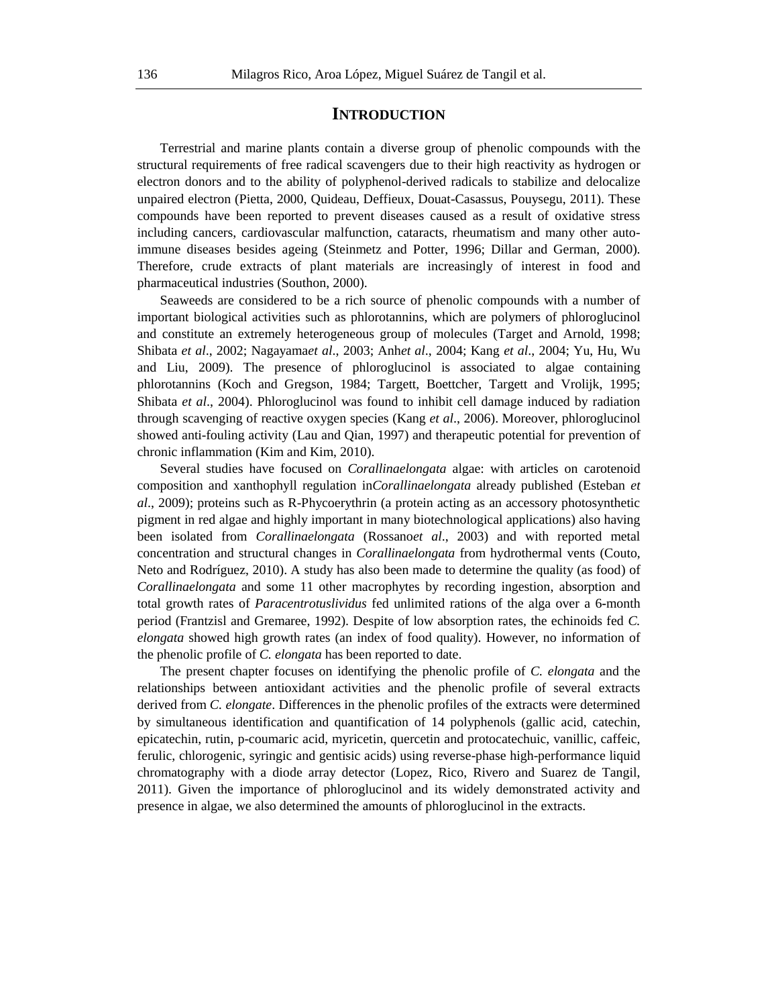# **INTRODUCTION**

Terrestrial and marine plants contain a diverse group of phenolic compounds with the structural requirements of free radical scavengers due to their high reactivity as hydrogen or electron donors and to the ability of polyphenol-derived radicals to stabilize and delocalize unpaired electron (Pietta, 2000, Quideau, Deffieux, Douat-Casassus, Pouysegu, 2011). These compounds have been reported to prevent diseases caused as a result of oxidative stress including cancers, cardiovascular malfunction, cataracts, rheumatism and many other autoimmune diseases besides ageing (Steinmetz and Potter, 1996; Dillar and German, 2000). Therefore, crude extracts of plant materials are increasingly of interest in food and pharmaceutical industries (Southon, 2000).

Seaweeds are considered to be a rich source of phenolic compounds with a number of important biological activities such as phlorotannins, which are polymers of phloroglucinol and constitute an extremely heterogeneous group of molecules (Target and Arnold, 1998; Shibata *et al*., 2002; Nagayama*et al*., 2003; Anh*et al*., 2004; Kang *et al*., 2004; Yu, Hu, Wu and Liu, 2009). The presence of phloroglucinol is associated to algae containing phlorotannins (Koch and Gregson, 1984; Targett, Boettcher, Targett and Vrolijk, 1995; Shibata *et al*., 2004). Phloroglucinol was found to inhibit cell damage induced by radiation through scavenging of reactive oxygen species (Kang *et al*., 2006). Moreover, phloroglucinol showed anti-fouling activity (Lau and Qian, 1997) and therapeutic potential for prevention of chronic inflammation (Kim and Kim, 2010).

Several studies have focused on *Corallinaelongata* algae: with articles on carotenoid composition and xanthophyll regulation in*Corallinaelongata* already published (Esteban *et al*., 2009); proteins such as R-Phycoerythrin (a protein acting as an accessory photosynthetic pigment in red algae and highly important in many biotechnological applications) also having been isolated from *Corallinaelongata* (Rossano*et al*., 2003) and with reported metal concentration and structural changes in *Corallinaelongata* from hydrothermal vents (Couto, Neto and Rodríguez, 2010). A study has also been made to determine the quality (as food) of *Corallinaelongata* and some 11 other macrophytes by recording ingestion, absorption and total growth rates of *Paracentrotuslividus* fed unlimited rations of the alga over a 6*-*month period (Frantzisl and Gremaree, 1992). Despite of low absorption rates, the echinoids fed *C. elongata* showed high growth rates (an index of food quality). However, no information of the phenolic profile of *C. elongata* has been reported to date.

The present chapter focuses on identifying the phenolic profile of *C. elongata* and the relationships between antioxidant activities and the phenolic profile of several extracts derived from *C. elongate*. Differences in the phenolic profiles of the extracts were determined by simultaneous identification and quantification of 14 polyphenols (gallic acid, catechin, epicatechin, rutin, p-coumaric acid, myricetin, quercetin and protocatechuic, vanillic, caffeic, ferulic, chlorogenic, syringic and gentisic acids) using reverse-phase high-performance liquid chromatography with a diode array detector (Lopez, Rico, Rivero and Suarez de Tangil, 2011). Given the importance of phloroglucinol and its widely demonstrated activity and presence in algae, we also determined the amounts of phloroglucinol in the extracts.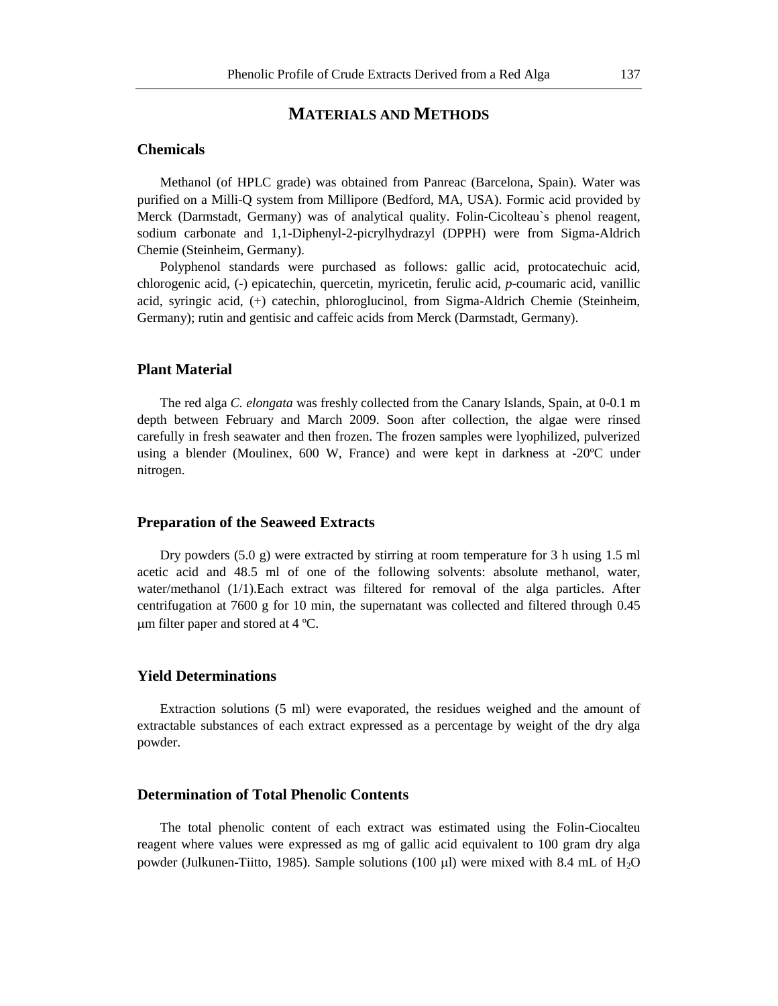# **MATERIALS AND METHODS**

## **Chemicals**

Methanol (of HPLC grade) was obtained from Panreac (Barcelona, Spain). Water was purified on a Milli-Q system from Millipore (Bedford, MA, USA). Formic acid provided by Merck (Darmstadt, Germany) was of analytical quality. Folin-Cicolteau`s phenol reagent, sodium carbonate and 1,1-Diphenyl-2-picrylhydrazyl (DPPH) were from Sigma-Aldrich Chemie (Steinheim, Germany).

Polyphenol standards were purchased as follows: gallic acid, protocatechuic acid, chlorogenic acid, (-) epicatechin, quercetin, myricetin, ferulic acid, *p*-coumaric acid, vanillic acid, syringic acid, (+) catechin, phloroglucinol, from Sigma-Aldrich Chemie (Steinheim, Germany); rutin and gentisic and caffeic acids from Merck (Darmstadt, Germany).

# **Plant Material**

The red alga *C. elongata* was freshly collected from the Canary Islands, Spain, at 0-0.1 m depth between February and March 2009. Soon after collection, the algae were rinsed carefully in fresh seawater and then frozen. The frozen samples were lyophilized, pulverized using a blender (Moulinex, 600 W, France) and were kept in darkness at -20ºC under nitrogen.

#### **Preparation of the Seaweed Extracts**

Dry powders  $(5.0 \text{ g})$  were extracted by stirring at room temperature for 3 h using 1.5 ml acetic acid and 48.5 ml of one of the following solvents: absolute methanol, water, water/methanol (1/1).Each extract was filtered for removal of the alga particles. After centrifugation at 7600 g for 10 min, the supernatant was collected and filtered through 0.45 m filter paper and stored at 4 ºC.

# **Yield Determinations**

Extraction solutions (5 ml) were evaporated, the residues weighed and the amount of extractable substances of each extract expressed as a percentage by weight of the dry alga powder.

# **Determination of Total Phenolic Contents**

The total phenolic content of each extract was estimated using the Folin-Ciocalteu reagent where values were expressed as mg of gallic acid equivalent to 100 gram dry alga powder (Julkunen-Tiitto, 1985). Sample solutions (100  $\mu$ I) were mixed with 8.4 mL of H<sub>2</sub>O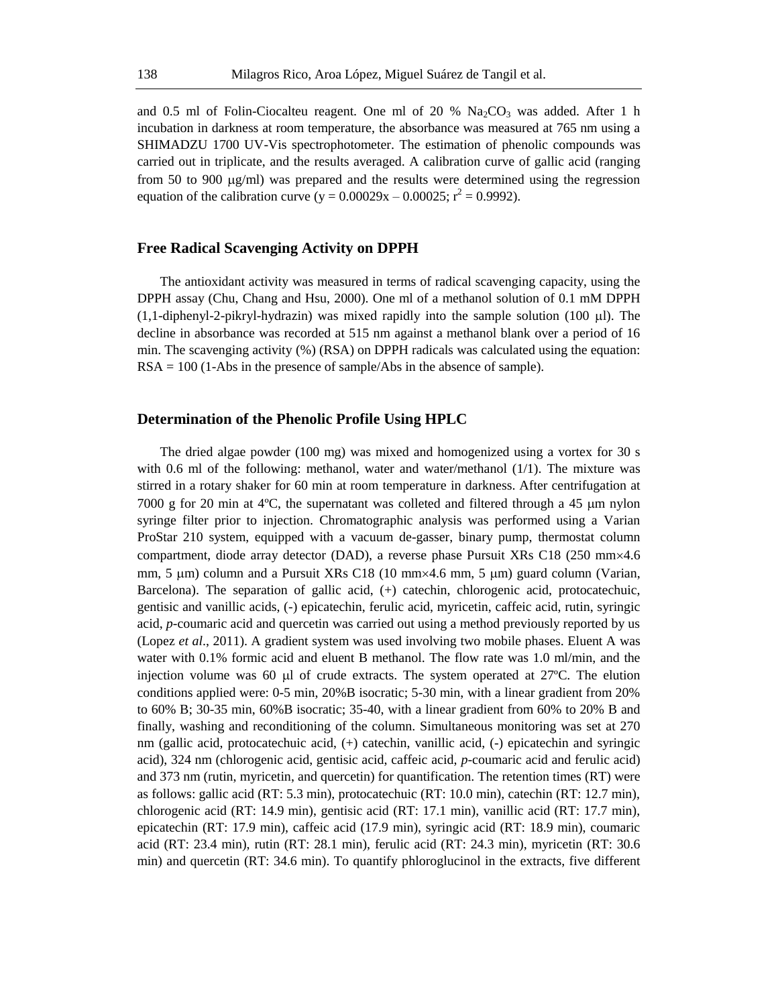and 0.5 ml of Folin-Ciocalteu reagent. One ml of 20 %  $\text{Na}_2\text{CO}_3$  was added. After 1 h incubation in darkness at room temperature, the absorbance was measured at 765 nm using a SHIMADZU 1700 UV-Vis spectrophotometer. The estimation of phenolic compounds was carried out in triplicate, and the results averaged. A calibration curve of gallic acid (ranging from 50 to 900  $\mu$ g/ml) was prepared and the results were determined using the regression equation of the calibration curve ( $y = 0.00029x - 0.00025$ ;  $r^2 = 0.9992$ ).

#### **Free Radical Scavenging Activity on DPPH**

The antioxidant activity was measured in terms of radical scavenging capacity, using the DPPH assay (Chu, Chang and Hsu, 2000). One ml of a methanol solution of 0.1 mM DPPH  $(1,1$ -diphenyl-2-pikryl-hydrazin) was mixed rapidly into the sample solution  $(100 \mu l)$ . The decline in absorbance was recorded at 515 nm against a methanol blank over a period of 16 min. The scavenging activity (%) (RSA) on DPPH radicals was calculated using the equation: RSA = 100 (1-Abs in the presence of sample/Abs in the absence of sample).

# **Determination of the Phenolic Profile Using HPLC**

The dried algae powder (100 mg) was mixed and homogenized using a vortex for 30 s with 0.6 ml of the following: methanol, water and water/methanol (1/1). The mixture was stirred in a rotary shaker for 60 min at room temperature in darkness. After centrifugation at 7000 g for 20 min at  $4^{\circ}$ C, the supernatant was colleted and filtered through a 45  $\mu$ m nylon syringe filter prior to injection. Chromatographic analysis was performed using a Varian ProStar 210 system, equipped with a vacuum de-gasser, binary pump, thermostat column compartment, diode array detector (DAD), a reverse phase Pursuit XRs C18 (250 mm×4.6 mm, 5  $\mu$ m) column and a Pursuit XRs C18 (10 mm×4.6 mm, 5  $\mu$ m) guard column (Varian, Barcelona). The separation of gallic acid, (+) catechin, chlorogenic acid, protocatechuic, gentisic and vanillic acids, (-) epicatechin, ferulic acid, myricetin, caffeic acid, rutin, syringic acid, *p-*coumaric acid and quercetin was carried out using a method previously reported by us (Lopez *et al*., 2011). A gradient system was used involving two mobile phases. Eluent A was water with 0.1% formic acid and eluent B methanol. The flow rate was 1.0 ml/min, and the injection volume was 60  $\mu$ l of crude extracts. The system operated at 27°C. The elution conditions applied were: 0-5 min, 20%B isocratic; 5-30 min, with a linear gradient from 20% to 60% B; 30-35 min, 60%B isocratic; 35-40, with a linear gradient from 60% to 20% B and finally, washing and reconditioning of the column. Simultaneous monitoring was set at 270 nm (gallic acid, protocatechuic acid, (+) catechin, vanillic acid, (-) epicatechin and syringic acid), 324 nm (chlorogenic acid, gentisic acid, caffeic acid, *p-*coumaric acid and ferulic acid) and 373 nm (rutin, myricetin, and quercetin) for quantification. The retention times (RT) were as follows: gallic acid (RT: 5.3 min), protocatechuic (RT: 10.0 min), catechin (RT: 12.7 min), chlorogenic acid (RT: 14.9 min), gentisic acid (RT: 17.1 min), vanillic acid (RT: 17.7 min), epicatechin (RT: 17.9 min), caffeic acid (17.9 min), syringic acid (RT: 18.9 min), coumaric acid (RT: 23.4 min), rutin (RT: 28.1 min), ferulic acid (RT: 24.3 min), myricetin (RT: 30.6 min) and quercetin (RT: 34.6 min). To quantify phloroglucinol in the extracts, five different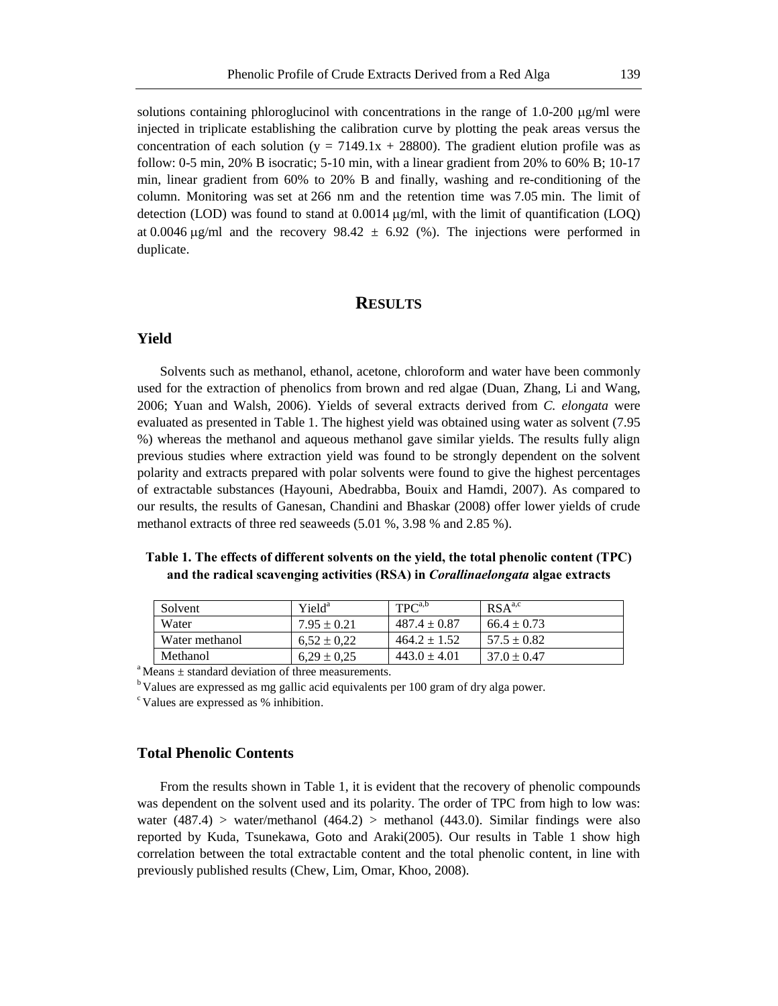solutions containing phloroglucinol with concentrations in the range of  $1.0-200 \mu g/ml$  were injected in triplicate establishing the calibration curve by plotting the peak areas versus the concentration of each solution (y =  $7149.1x + 28800$ ). The gradient elution profile was as follow: 0-5 min, 20% B isocratic; 5-10 min, with a linear gradient from 20% to 60% B; 10-17 min, linear gradient from 60% to 20% B and finally, washing and re-conditioning of the column. Monitoring was set at 266 nm and the retention time was 7.05 min. The limit of detection (LOD) was found to stand at  $0.0014 \mu g/ml$ , with the limit of quantification (LOO) at 0.0046  $\mu$ g/ml and the recovery 98.42  $\pm$  6.92 (%). The injections were performed in duplicate.

# **RESULTS**

#### **Yield**

Solvents such as methanol, ethanol, acetone, chloroform and water have been commonly used for the extraction of phenolics from brown and red algae (Duan, Zhang, Li and Wang, 2006; Yuan and Walsh, 2006). Yields of several extracts derived from *C. elongata* were evaluated as presented in Table 1. The highest yield was obtained using water as solvent (7.95 %) whereas the methanol and aqueous methanol gave similar yields. The results fully align previous studies where extraction yield was found to be strongly dependent on the solvent polarity and extracts prepared with polar solvents were found to give the highest percentages of extractable substances (Hayouni, Abedrabba, Bouix and Hamdi, 2007). As compared to our results, the results of Ganesan, Chandini and Bhaskar (2008) offer lower yields of crude methanol extracts of three red seaweeds (5.01 %, 3.98 % and 2.85 %).

# **Table 1. The effects of different solvents on the yield, the total phenolic content (TPC) and the radical scavenging activities (RSA) in** *Corallinaelongata* **algae extracts**

| Solvent        | Yield <sup>a</sup> | $TPC^{a,b}$      | RSA <sup>a,c</sup> |
|----------------|--------------------|------------------|--------------------|
| Water          | $7.95 \pm 0.21$    | $487.4 \pm 0.87$ | $66.4 \pm 0.73$    |
| Water methanol | $6.52 \pm 0.22$    | $464.2 \pm 1.52$ | $57.5 \pm 0.82$    |
| Methanol       | $6.29 \pm 0.25$    | $443.0 \pm 4.01$ | $37.0 + 0.47$      |

 $a<sup>a</sup>$  Means  $\pm$  standard deviation of three measurements.

<sup>b</sup> Values are expressed as mg gallic acid equivalents per 100 gram of dry alga power.

<sup>c</sup> Values are expressed as % inhibition.

## **Total Phenolic Contents**

From the results shown in Table 1, it is evident that the recovery of phenolic compounds was dependent on the solvent used and its polarity. The order of TPC from high to low was: water  $(487.4)$  > water/methanol  $(464.2)$  > methanol  $(443.0)$ . Similar findings were also reported by Kuda, Tsunekawa, Goto and Araki(2005). Our results in Table 1 show high correlation between the total extractable content and the total phenolic content, in line with previously published results (Chew, Lim, Omar, Khoo, 2008).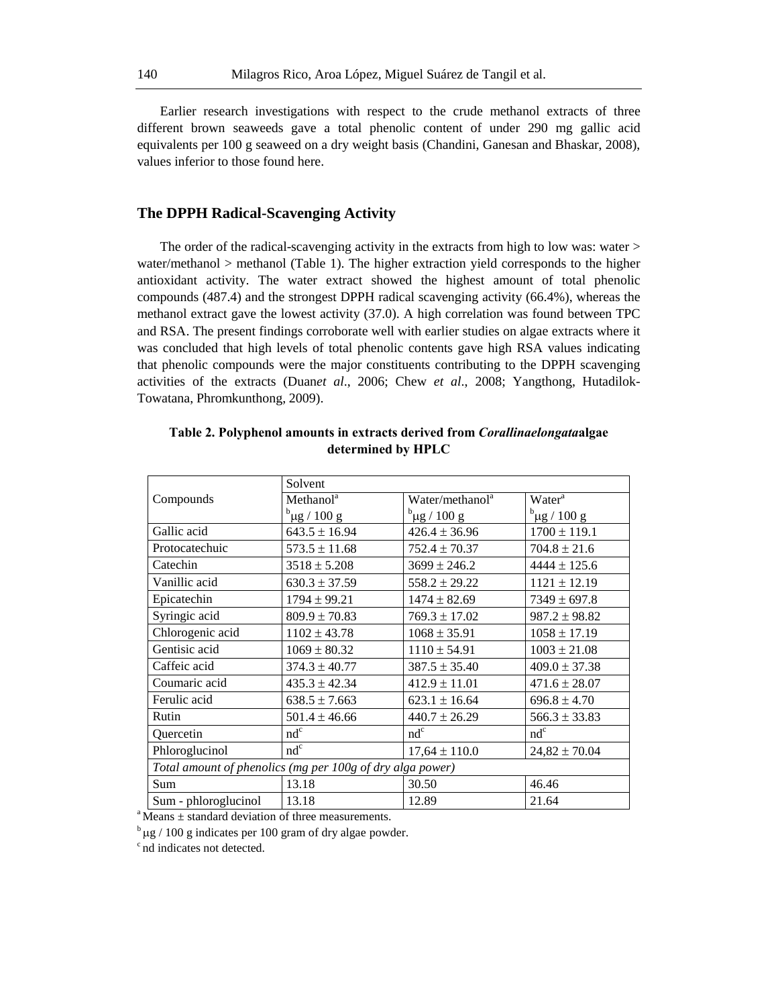Earlier research investigations with respect to the crude methanol extracts of three different brown seaweeds gave a total phenolic content of under 290 mg gallic acid equivalents per 100 g seaweed on a dry weight basis (Chandini, Ganesan and Bhaskar, 2008), values inferior to those found here.

# **The DPPH Radical-Scavenging Activity**

The order of the radical-scavenging activity in the extracts from high to low was: water  $>$ water/methanol > methanol (Table 1). The higher extraction yield corresponds to the higher antioxidant activity. The water extract showed the highest amount of total phenolic compounds (487.4) and the strongest DPPH radical scavenging activity (66.4%), whereas the methanol extract gave the lowest activity (37.0). A high correlation was found between TPC and RSA. The present findings corroborate well with earlier studies on algae extracts where it was concluded that high levels of total phenolic contents gave high RSA values indicating that phenolic compounds were the major constituents contributing to the DPPH scavenging activities of the extracts (Duan*et al*., 2006; Chew *et al*., 2008; Yangthong, Hutadilok-Towatana, Phromkunthong, 2009).

|                                                           | Solvent               |                                                   |                   |  |
|-----------------------------------------------------------|-----------------------|---------------------------------------------------|-------------------|--|
| Compounds                                                 | Method <sup>a</sup>   | Water/methanol <sup>a</sup><br>Water <sup>a</sup> |                   |  |
|                                                           | $^{\rm b}$ µg / 100 g | $b$ <sub>µg</sub> / 100 g                         | $^{b}$ µg / 100 g |  |
| Gallic acid                                               | $643.5 \pm 16.94$     | $426.4 \pm 36.96$                                 | $1700 \pm 119.1$  |  |
| Protocatechuic                                            | $573.5 \pm 11.68$     | $752.4 \pm 70.37$                                 | $704.8 \pm 21.6$  |  |
| Catechin                                                  | $3518 \pm 5.208$      | $3699 \pm 246.2$                                  | $4444 \pm 125.6$  |  |
| Vanillic acid                                             | $630.3 \pm 37.59$     | $558.2 \pm 29.22$                                 | $1121 \pm 12.19$  |  |
| Epicatechin                                               | $1794 \pm 99.21$      | $1474 \pm 82.69$                                  | $7349 \pm 697.8$  |  |
| Syringic acid                                             | $809.9 \pm 70.83$     | $769.3 \pm 17.02$                                 | $987.2 \pm 98.82$ |  |
| Chlorogenic acid                                          | $1102 \pm 43.78$      | $1068 \pm 35.91$                                  | $1058 \pm 17.19$  |  |
| Gentisic acid                                             | $1069 \pm 80.32$      | $1110 \pm 54.91$                                  | $1003 \pm 21.08$  |  |
| Caffeic acid                                              | $374.3 \pm 40.77$     | $387.5 \pm 35.40$                                 | $409.0 \pm 37.38$ |  |
| Coumaric acid                                             | $435.3 \pm 42.34$     | $412.9 \pm 11.01$                                 | $471.6 \pm 28.07$ |  |
| Ferulic acid                                              | $638.5 \pm 7.663$     | $623.1 \pm 16.64$                                 | $696.8 \pm 4.70$  |  |
| Rutin                                                     | $501.4 \pm 46.66$     | $440.7 \pm 26.29$                                 | $566.3 \pm 33.83$ |  |
| Quercetin                                                 | $nd^c$                | $nd^c$                                            | $nd^c$            |  |
| Phloroglucinol                                            | $nd^c$                | $17,64 \pm 110.0$                                 | $24,82 \pm 70.04$ |  |
| Total amount of phenolics (mg per 100g of dry alga power) |                       |                                                   |                   |  |
| <b>Sum</b>                                                | 13.18                 | 30.50                                             | 46.46             |  |
| Sum - phloroglucinol                                      | 13.18                 | 12.89                                             | 21.64             |  |

**Table 2. Polyphenol amounts in extracts derived from** *Corallinaelongata***algae determined by HPLC**

 $\alpha$ <sup>a</sup> Means  $\pm$  standard deviation of three measurements.

 $\frac{b}{\mu}$   $\mu$ g / 100 g indicates per 100 gram of dry algae powder.

<sup>c</sup> nd indicates not detected.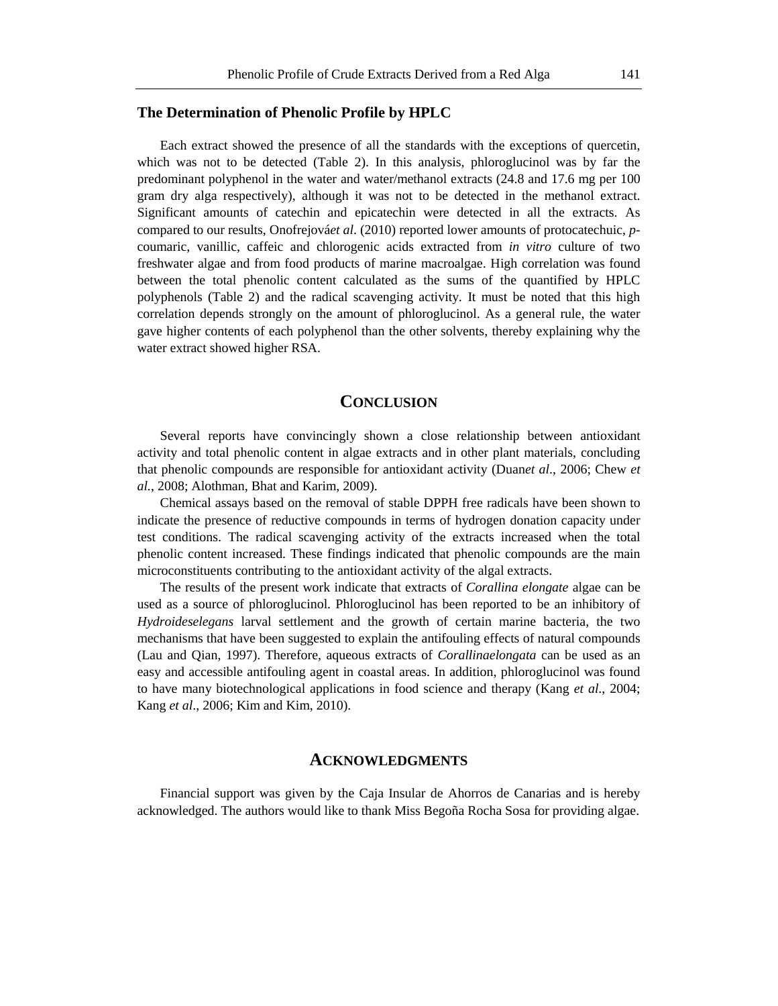## **The Determination of Phenolic Profile by HPLC**

Each extract showed the presence of all the standards with the exceptions of quercetin, which was not to be detected (Table 2). In this analysis, phloroglucinol was by far the predominant polyphenol in the water and water/methanol extracts (24.8 and 17.6 mg per 100 gram dry alga respectively), although it was not to be detected in the methanol extract. Significant amounts of catechin and epicatechin were detected in all the extracts. As compared to our results, Onofrejová*et al*. (2010) reported lower amounts of protocatechuic, *p*coumaric, vanillic, caffeic and chlorogenic acids extracted from *in vitro* culture of two freshwater algae and from food products of marine macroalgae. High correlation was found between the total phenolic content calculated as the sums of the quantified by HPLC polyphenols (Table 2) and the radical scavenging activity. It must be noted that this high correlation depends strongly on the amount of phloroglucinol. As a general rule, the water gave higher contents of each polyphenol than the other solvents, thereby explaining why the water extract showed higher RSA.

### **CONCLUSION**

Several reports have convincingly shown a close relationship between antioxidant activity and total phenolic content in algae extracts and in other plant materials, concluding that phenolic compounds are responsible for antioxidant activity (Duan*et al*., 2006; Chew *et al.*, 2008; Alothman, Bhat and Karim, 2009).

Chemical assays based on the removal of stable DPPH free radicals have been shown to indicate the presence of reductive compounds in terms of hydrogen donation capacity under test conditions. The radical scavenging activity of the extracts increased when the total phenolic content increased. These findings indicated that phenolic compounds are the main microconstituents contributing to the antioxidant activity of the algal extracts.

The results of the present work indicate that extracts of *Corallina elongate* algae can be used as a source of phloroglucinol. Phloroglucinol has been reported to be an inhibitory of *Hydroideselegans* larval settlement and the growth of certain marine bacteria, the two mechanisms that have been suggested to explain the antifouling effects of natural compounds (Lau and Qian, 1997). Therefore, aqueous extracts of *Corallinaelongata* can be used as an easy and accessible antifouling agent in coastal areas. In addition, phloroglucinol was found to have many biotechnological applications in food science and therapy (Kang *et al*., 2004; Kang *et al*., 2006; Kim and Kim, 2010).

#### **ACKNOWLEDGMENTS**

Financial support was given by the Caja Insular de Ahorros de Canarias and is hereby acknowledged. The authors would like to thank Miss Begoña Rocha Sosa for providing algae.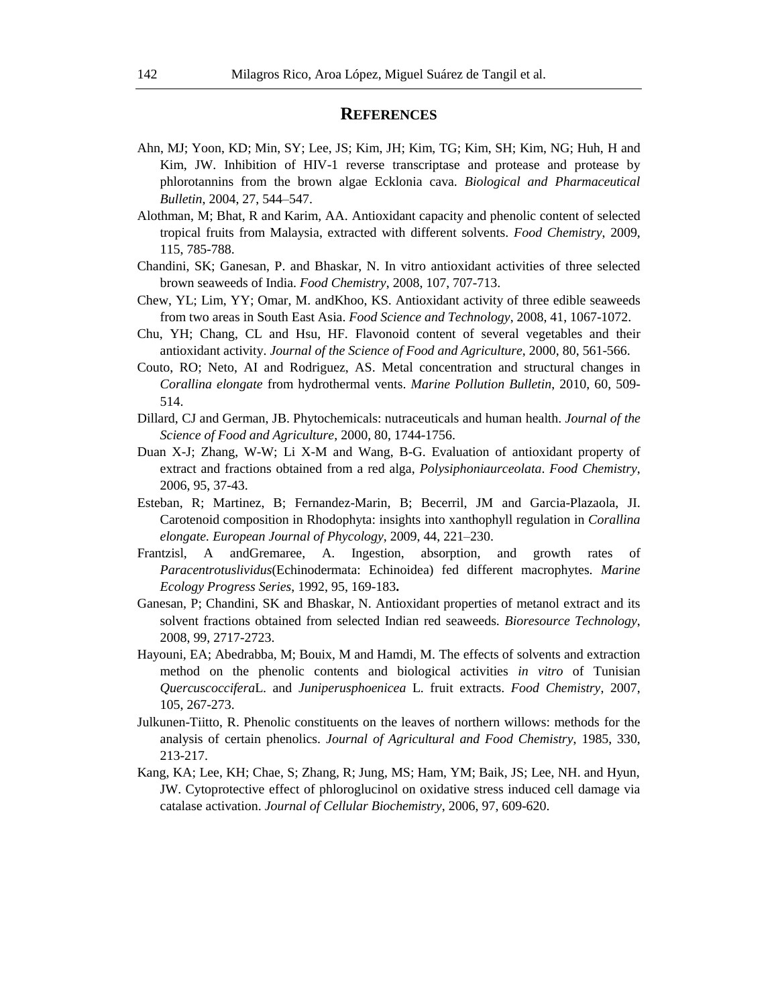## **REFERENCES**

- Ahn, MJ; Yoon, KD; Min, SY; Lee, JS; Kim, JH; Kim, TG; Kim, SH; Kim, NG; Huh, H and Kim, JW. Inhibition of HIV-1 reverse transcriptase and protease and protease by phlorotannins from the brown algae Ecklonia cava. *Biological and Pharmaceutical Bulletin*, 2004, 27, 544–547.
- Alothman, M; Bhat, R and Karim, AA. Antioxidant capacity and phenolic content of selected tropical fruits from Malaysia, extracted with different solvents. *Food Chemistry*, 2009, 115, 785-788.
- Chandini, SK; Ganesan, P. and Bhaskar, N. In vitro antioxidant activities of three selected brown seaweeds of India. *Food Chemistry*, 2008, 107, 707-713.
- Chew, YL; Lim, YY; Omar, M. andKhoo, KS. Antioxidant activity of three edible seaweeds from two areas in South East Asia. *Food Science and Technology*, 2008, 41, 1067-1072.
- Chu, YH; Chang, CL and Hsu, HF. Flavonoid content of several vegetables and their antioxidant activity. *Journal of the Science of Food and Agriculture*, 2000, 80, 561-566.
- Couto, RO; Neto, AI and Rodriguez, AS. Metal concentration and structural changes in *Corallina elongate* from hydrothermal vents. *Marine Pollution Bulletin*, 2010, 60, 509- 514.
- Dillard, CJ and German, JB. Phytochemicals: nutraceuticals and human health. *Journal of the Science of Food and Agriculture*, 2000, 80, 1744-1756.
- Duan X-J; Zhang, W-W; Li X-M and Wang, B-G. Evaluation of antioxidant property of extract and fractions obtained from a red alga, *Polysiphoniaurceolata*. *Food Chemistry*, 2006, 95, 37-43.
- Esteban, R; Martinez, B; Fernandez-Marin, B; Becerril, JM and Garcia-Plazaola, JI. Carotenoid composition in Rhodophyta: insights into xanthophyll regulation in *Corallina elongate. European Journal of Phycology*, 2009, 44, 221–230.
- Frantzisl, A andGremaree, A. Ingestion, absorption, and growth rates of *Paracentrotuslividus*(Echinodermata: Echinoidea) fed different macrophytes. *Marine Ecology Progress Series*, 1992, 95, 169-183**.**
- Ganesan, P; Chandini, SK and Bhaskar, N. Antioxidant properties of metanol extract and its solvent fractions obtained from selected Indian red seaweeds. *Bioresource Technology*, 2008, 99, 2717-2723.
- Hayouni, EA; Abedrabba, M; Bouix, M and Hamdi, M. The effects of solvents and extraction method on the phenolic contents and biological activities *in vitro* of Tunisian *Quercuscoccifera*L. and *Juniperusphoenicea* L. fruit extracts. *Food Chemistry*, 2007, 105, 267-273.
- Julkunen-Tiitto, R. Phenolic constituents on the leaves of northern willows: methods for the analysis of certain phenolics. *Journal of Agricultural and Food Chemistry*, 1985, 330, 213-217.
- Kang, KA; Lee, KH; Chae, S; Zhang, R; Jung, MS; Ham, YM; Baik, JS; Lee, NH. and Hyun, JW. Cytoprotective effect of phloroglucinol on oxidative stress induced cell damage via catalase activation. *Journal of Cellular Biochemistry*, 2006, 97, 609-620.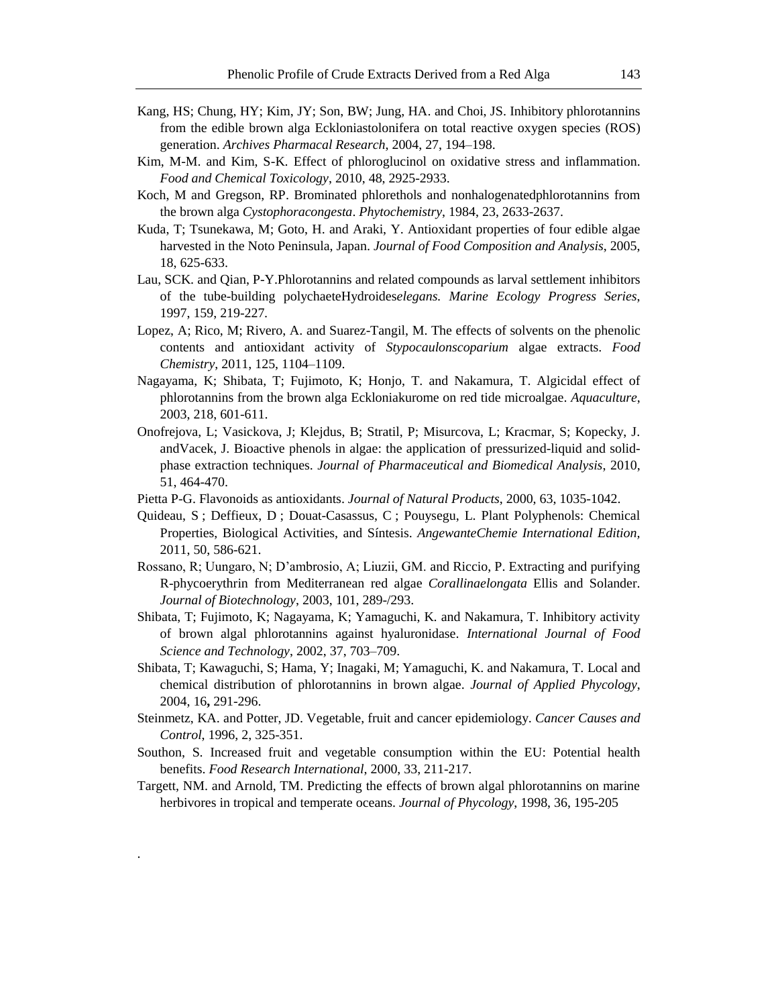- Kang, HS; Chung, HY; Kim, JY; Son, BW; Jung, HA. and Choi, JS. Inhibitory phlorotannins from the edible brown alga Eckloniastolonifera on total reactive oxygen species (ROS) generation. *Archives Pharmacal Research*, 2004, 27, 194–198.
- Kim, M-M. and Kim, S-K. Effect of phloroglucinol on oxidative stress and inflammation. *Food and Chemical Toxicology*, 2010, 48, 2925-2933.
- Koch, M and Gregson, RP. Brominated phlorethols and nonhalogenatedphlorotannins from the brown alga *Cystophoracongesta*. *Phytochemistry*, 1984, 23, 2633-2637.
- Kuda, T; Tsunekawa, M; Goto, H. and Araki, Y. Antioxidant properties of four edible algae harvested in the Noto Peninsula, Japan. *Journal of Food Composition and Analysis*, 2005, 18, 625-633.
- Lau, SCK. and Qian, P-Y.Phlorotannins and related compounds as larval settlement inhibitors of the tube-building polychaeteHydroides*elegans. Marine Ecology Progress Series*, 1997, 159, 219-227*.*
- Lopez, A; Rico, M; Rivero, A. and Suarez-Tangil, M. The effects of solvents on the phenolic contents and antioxidant activity of *Stypocaulonscoparium* algae extracts. *Food Chemistry*, 2011, 125, 1104–1109.
- Nagayama, K; Shibata, T; Fujimoto, K; Honjo, T. and Nakamura, T. Algicidal effect of phlorotannins from the brown alga Eckloniakurome on red tide microalgae. *Aquaculture*, 2003, 218, 601-611.
- Onofrejova, L; Vasickova, J; Klejdus, B; Stratil, P; Misurcova, L; Kracmar, S; Kopecky, J. andVacek, J. Bioactive phenols in algae: the application of pressurized-liquid and solidphase extraction techniques. *Journal of Pharmaceutical and Biomedical Analysis*, 2010, 51, 464-470.
- Pietta P-G. Flavonoids as antioxidants. *Journal of Natural Products*, 2000, 63, 1035-1042.
- Quideau, S ; Deffieux, D ; Douat-Casassus, C ; Pouysegu, L. Plant Polyphenols: Chemical Properties, Biological Activities, and Síntesis. *AngewanteChemie International Edition,* 2011, 50, 586-621.
- Rossano, R; Uungaro, N; D'ambrosio, A; Liuzii, GM. and Riccio, P. Extracting and purifying R-phycoerythrin from Mediterranean red algae *Corallinaelongata* Ellis and Solander. *Journal of Biotechnology*, 2003, 101, 289-/293.
- Shibata, T; Fujimoto, K; Nagayama, K; Yamaguchi, K. and Nakamura, T. Inhibitory activity of brown algal phlorotannins against hyaluronidase. *International Journal of Food Science and Technology*, 2002, 37, 703–709.
- Shibata, T; Kawaguchi, S; Hama, Y; Inagaki, M; Yamaguchi, K. and Nakamura, T. Local and chemical distribution of phlorotannins in brown algae. *Journal of Applied Phycology*, 2004, 16**,** 291-296.
- Steinmetz, KA. and Potter, JD. Vegetable, fruit and cancer epidemiology. *Cancer Causes and Control*, 1996, 2, 325-351.
- Southon, S. Increased fruit and vegetable consumption within the EU: Potential health benefits. *Food Research International*, 2000, 33, 211-217.
- Targett, NM. and Arnold, TM. Predicting the effects of brown algal phlorotannins on marine herbivores in tropical and temperate oceans. *Journal of Phycology*, 1998, 36, 195-205

.